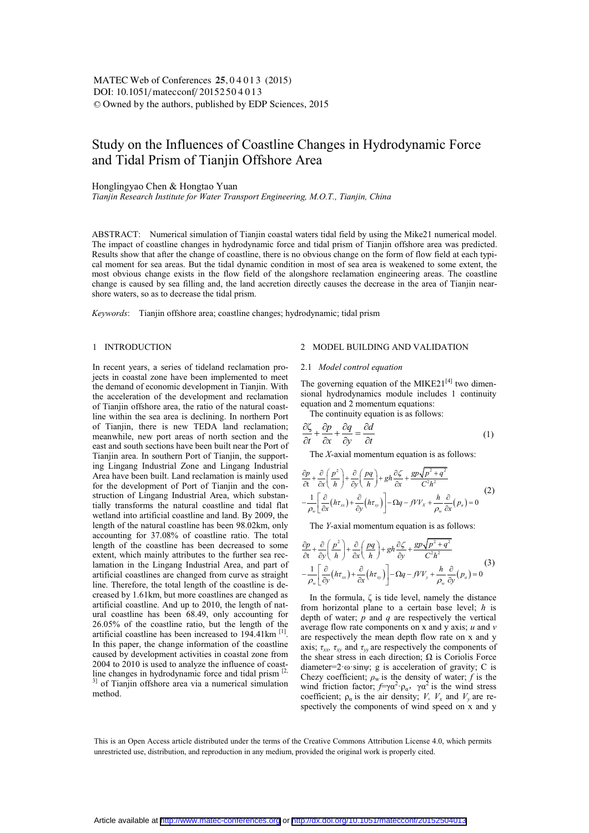# Study on the Influences of Coastline Changes in Hydrodynamic Force and Tidal Prism of Tianjin Offshore Area

Honglingyao Chen & Hongtao Yuan

*Tianjin Research Institute for Water Transport Engineering, M.O.T., Tianjin, China* 

ABSTRACT: Numerical simulation of Tianjin coastal waters tidal field by using the Mike21 numerical model. The impact of coastline changes in hydrodynamic force and tidal prism of Tianjin offshore area was predicted. Results show that after the change of coastline, there is no obvious change on the form of flow field at each typical moment for sea areas. But the tidal dynamic condition in most of sea area is weakened to some extent, the most obvious change exists in the flow field of the alongshore reclamation engineering areas. The coastline change is caused by sea filling and, the land accretion directly causes the decrease in the area of Tianjin nearshore waters, so as to decrease the tidal prism.

*Keywords*: Tianjin offshore area; coastline changes; hydrodynamic; tidal prism

## 1 INTRODUCTION

In recent years, a series of tideland reclamation projects in coastal zone have been implemented to meet the demand of economic development in Tianjin. With the acceleration of the development and reclamation of Tianjin offshore area, the ratio of the natural coastline within the sea area is declining. In northern Port of Tianjin, there is new TEDA land reclamation; meanwhile, new port areas of north section and the east and south sections have been built near the Port of Tianjin area. In southern Port of Tianjin, the supporting Lingang Industrial Zone and Lingang Industrial Area have been built. Land reclamation is mainly used for the development of Port of Tianjin and the construction of Lingang Industrial Area, which substantially transforms the natural coastline and tidal flat wetland into artificial coastline and land. By 2009, the length of the natural coastline has been 98.02km, only accounting for 37.08% of coastline ratio. The total length of the coastline has been decreased to some extent, which mainly attributes to the further sea reclamation in the Lingang Industrial Area, and part of artificial coastlines are changed from curve as straight line. Therefore, the total length of the coastline is decreased by 1.61km, but more coastlines are changed as artificial coastline. And up to 2010, the length of natural coastline has been 68.49, only accounting for 26.05% of the coastline ratio, but the length of the artificial coastline has been increased to 194.41km <sup>[1]</sup>. In this paper, the change information of the coastline caused by development activities in coastal zone from 2004 to 2010 is used to analyze the influence of coastline changes in hydrodynamic force and tidal prism  $[2, 1]$ <sup>3]</sup> of Tianjin offshore area via a numerical simulation method.

## 2 MODEL BUILDING AND VALIDATION

#### 2.1 *Model control equation*

The governing equation of the MIKE21 $[4]$  two dimensional hydrodynamics module includes 1 continuity equation and 2 momentum equations:

The continuity equation is as follows:

$$
\frac{\partial \zeta}{\partial t} + \frac{\partial p}{\partial x} + \frac{\partial q}{\partial y} = \frac{\partial d}{\partial t}
$$
 (1)

The *X-*axial momentum equation is as follows:

$$
\frac{\partial p}{\partial t} + \frac{\partial}{\partial x} \left( \frac{p^2}{h} \right) + \frac{\partial}{\partial y} \left( \frac{pq}{h} \right) + gh \frac{\partial \zeta}{\partial x} + \frac{gp \sqrt{p^2 + q^2}}{C^2 h^2} \n- \frac{1}{\rho_w} \left[ \frac{\partial}{\partial x} (h \tau_w) + \frac{\partial}{\partial y} (h \tau_w) \right] - \Omega q - f V V_x + \frac{h}{\rho_w} \frac{\partial}{\partial x} (p_a) = 0
$$
\n(2)

The *Y-*axial momentum equation is as follows:

$$
\frac{\partial p}{\partial t} + \frac{\partial}{\partial y} \left( \frac{p^2}{h} \right) + \frac{\partial}{\partial x} \left( \frac{pq}{h} \right) + gh \frac{\partial \zeta}{\partial y} + \frac{gp \sqrt{p^2 + q^2}}{C^2 h^2} \n- \frac{1}{\rho_w} \left[ \frac{\partial}{\partial y} (h \tau_w) + \frac{\partial}{\partial x} (h \tau_w) \right] - \Omega q - f V V_y + \frac{h}{\rho_w} \frac{\partial}{\partial y} (p_a) = 0
$$
\n(3)

In the formula,  $\zeta$  is tide level, namely the distance from horizontal plane to a certain base level; *h* is depth of water; *p* and *q* are respectively the vertical average flow rate components on x and y axis; *u* and *v*  are respectively the mean depth flow rate on x and y axis;  $\tau_{xx}$ ,  $\tau_{xy}$  and  $\tau_{yy}$  are respectively the components of the shear stress in each direction;  $\Omega$  is Coriolis Force diameter= $2 \cdot \omega \cdot \sin \psi$ ; g is acceleration of gravity; C is Chezy coefficient;  $\rho_w$  is the density of water; *f* is the wind friction factor;  $f=\gamma\alpha^2 \cdot \rho_\alpha$ ,  $\gamma\alpha^2$  is the wind stress coefficient;  $\rho_{\alpha}$  is the air density; *V*, *V<sub>x</sub>* and *V<sub>y</sub>* are respectively the components of wind speed on x and y

This is an Open Access article distributed under the terms of the Creative Commons Attribution License 4.0, which permits unrestricted use, distribution, and reproduction in any medium, provided the original work is properly cited.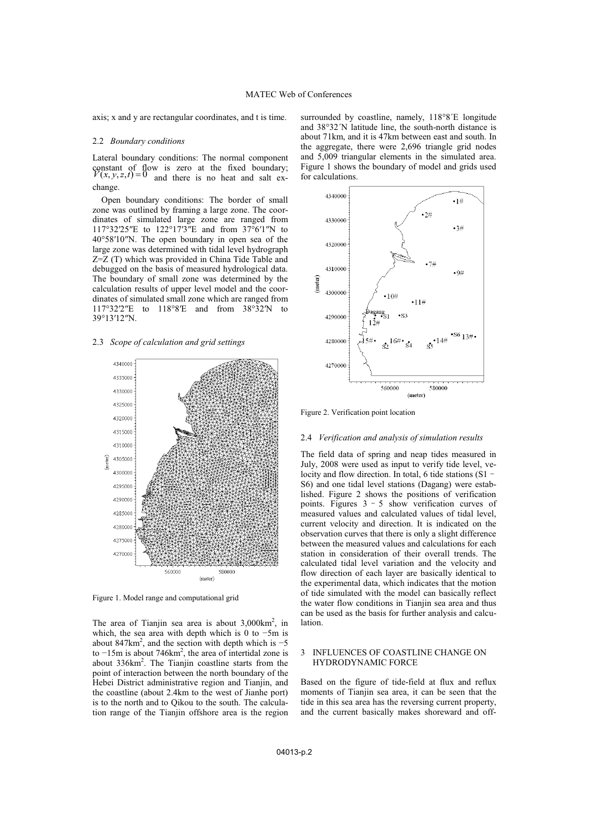axis; x and y are rectangular coordinates, and t is time.

#### 2.2 *Boundary conditions*

Lateral boundary conditions: The normal component constant of flow is zero at the fixed boundary;<br> $V(x, y, z, t) = 0$  and there is no heat and salt exchange.

Open boundary conditions: The border of small zone was outlined by framing a large zone. The coordinates of simulated large zone are ranged from 117°32′25″E to 122°17′3″E and from 37°6′1″N to 40°58′10″N. The open boundary in open sea of the large zone was determined with tidal level hydrograph Z=Z (T) which was provided in China Tide Table and debugged on the basis of measured hydrological data. The boundary of small zone was determined by the calculation results of upper level model and the coordinates of simulated small zone which are ranged from 117°32′2″E to 118°8′E and from 38°32′N to 39°13′12″N.

## 2.3 *Scope of calculation and grid settings*



Figure 1. Model range and computational grid

The area of Tianjin sea area is about  $3,000 \text{km}^2$ , in which, the sea area with depth which is 0 to −5m is about  $847 \text{km}^2$ , and the section with depth which is  $-5$ to  $-15$ m is about 746 $km^2$ , the area of intertidal zone is about 336km<sup>2</sup>. The Tianjin coastline starts from the point of interaction between the north boundary of the Hebei District administrative region and Tianjin, and the coastline (about 2.4km to the west of Jianhe port) is to the north and to Qikou to the south. The calculation range of the Tianjin offshore area is the region

surrounded by coastline, namely, 118°8´E longitude and 38°32´N latitude line, the south-north distance is about 71km, and it is 47km between east and south. In the aggregate, there were 2,696 triangle grid nodes and 5,009 triangular elements in the simulated area. Figure 1 shows the boundary of model and grids used for calculations.



Figure 2. Verification point location

#### 2.4 *Verification and analysis of simulation results*

The field data of spring and neap tides measured in July, 2008 were used as input to verify tide level, velocity and flow direction. In total, 6 tide stations (S1 -S6) and one tidal level stations (Dagang) were established. Figure 2 shows the positions of verification points. Figures  $3 - 5$  show verification curves of measured values and calculated values of tidal level, current velocity and direction. It is indicated on the observation curves that there is only a slight difference between the measured values and calculations for each station in consideration of their overall trends. The calculated tidal level variation and the velocity and flow direction of each layer are basically identical to the experimental data, which indicates that the motion of tide simulated with the model can basically reflect the water flow conditions in Tianjin sea area and thus can be used as the basis for further analysis and calculation.

#### 3 INFLUENCES OF COASTLINE CHANGE ON HYDRODYNAMIC FORCE

Based on the figure of tide-field at flux and reflux moments of Tianjin sea area, it can be seen that the tide in this sea area has the reversing current property, and the current basically makes shoreward and off-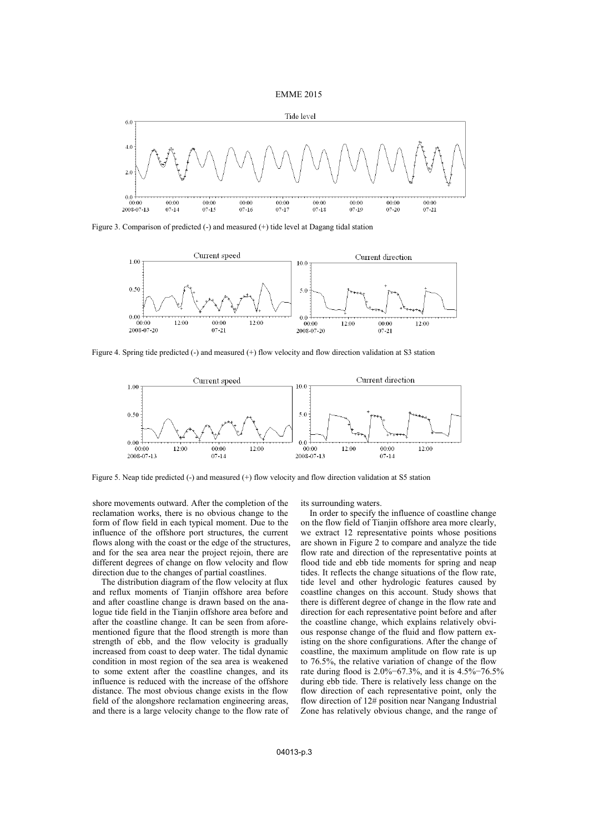



Figure 3. Comparison of predicted (-) and measured (+) tide level at Dagang tidal station



Figure 4. Spring tide predicted (-) and measured (+) flow velocity and flow direction validation at S3 station



Figure 5. Neap tide predicted (-) and measured (+) flow velocity and flow direction validation at S5 station

shore movements outward. After the completion of the reclamation works, there is no obvious change to the form of flow field in each typical moment. Due to the influence of the offshore port structures, the current flows along with the coast or the edge of the structures, and for the sea area near the project rejoin, there are different degrees of change on flow velocity and flow direction due to the changes of partial coastlines.

The distribution diagram of the flow velocity at flux and reflux moments of Tianiin offshore area before and after coastline change is drawn based on the analogue tide field in the Tianjin offshore area before and after the coastline change. It can be seen from aforementioned figure that the flood strength is more than strength of ebb, and the flow velocity is gradually increased from coast to deep water. The tidal dynamic condition in most region of the sea area is weakened to some extent after the coastline changes, and its influence is reduced with the increase of the offshore distance. The most obvious change exists in the flow field of the alongshore reclamation engineering areas, and there is a large velocity change to the flow rate of its surrounding waters.

In order to specify the influence of coastline change on the flow field of Tianjin offshore area more clearly, we extract 12 representative points whose positions are shown in Figure 2 to compare and analyze the tide flow rate and direction of the representative points at flood tide and ebb tide moments for spring and neap tides. It reflects the change situations of the flow rate, tide level and other hydrologic features caused by coastline changes on this account. Study shows that there is different degree of change in the flow rate and direction for each representative point before and after the coastline change, which explains relatively obvious response change of the fluid and flow pattern existing on the shore configurations. After the change of coastline, the maximum amplitude on flow rate is up to 76.5%, the relative variation of change of the flow rate during flood is 2.0%−67.3%, and it is 4.5%−76.5% during ebb tide. There is relatively less change on the flow direction of each representative point, only the flow direction of 12# position near Nangang Industrial Zone has relatively obvious change, and the range of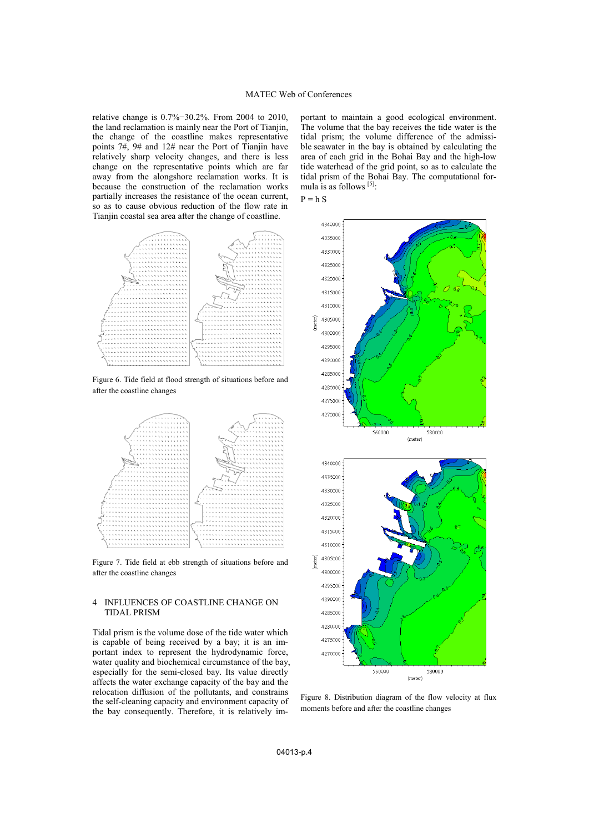relative change is 0.7%−30.2%. From 2004 to 2010, the land reclamation is mainly near the Port of Tianjin, the change of the coastline makes representative points 7#, 9# and 12# near the Port of Tianjin have relatively sharp velocity changes, and there is less change on the representative points which are far away from the alongshore reclamation works. It is because the construction of the reclamation works partially increases the resistance of the ocean current, so as to cause obvious reduction of the flow rate in Tianjin coastal sea area after the change of coastline.



Figure 6. Tide field at flood strength of situations before and after the coastline changes



Figure 7. Tide field at ebb strength of situations before and after the coastline changes

## 4 INFLUENCES OF COASTLINE CHANGE ON TIDAL PRISM

Tidal prism is the volume dose of the tide water which is capable of being received by a bay; it is an important index to represent the hydrodynamic force, water quality and biochemical circumstance of the bay, especially for the semi-closed bay. Its value directly affects the water exchange capacity of the bay and the relocation diffusion of the pollutants, and constrains the self-cleaning capacity and environment capacity of the bay consequently. Therefore, it is relatively important to maintain a good ecological environment. The volume that the bay receives the tide water is the tidal prism; the volume difference of the admissible seawater in the bay is obtained by calculating the area of each grid in the Bohai Bay and the high-low tide waterhead of the grid point, so as to calculate the tidal prism of the Bohai Bay. The computational formula is as follows [5]:





Figure 8. Distribution diagram of the flow velocity at flux moments before and after the coastline changes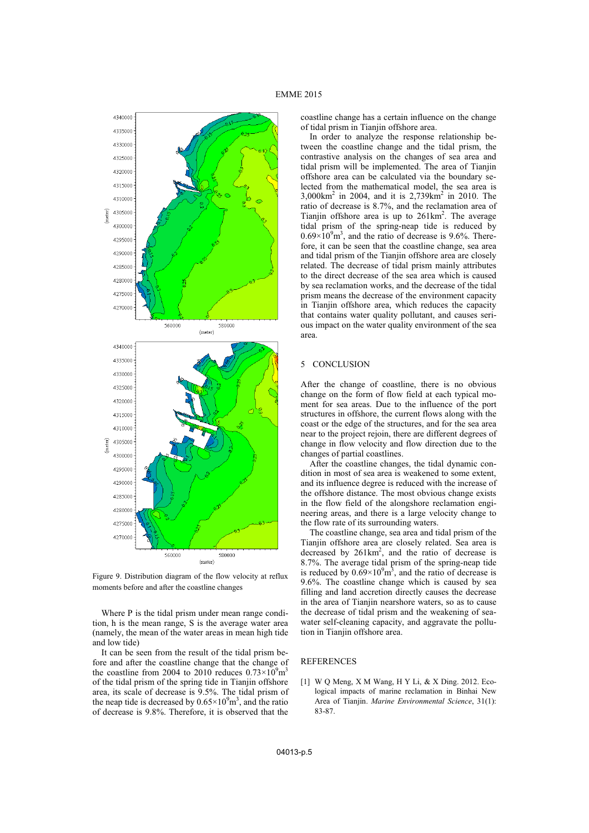

Figure 9. Distribution diagram of the flow velocity at reflux moments before and after the coastline changes

Where P is the tidal prism under mean range condition, h is the mean range, S is the average water area (namely, the mean of the water areas in mean high tide and low tide)

It can be seen from the result of the tidal prism before and after the coastline change that the change of the coastline from 2004 to 2010 reduces  $0.73 \times 10^9$  m<sup>3</sup> of the tidal prism of the spring tide in Tianjin offshore area, its scale of decrease is 9.5%. The tidal prism of the neap tide is decreased by  $0.65 \times 10^9$  m<sup>3</sup>, and the ratio of decrease is 9.8%. Therefore, it is observed that the

coastline change has a certain influence on the change of tidal prism in Tianjin offshore area.

In order to analyze the response relationship between the coastline change and the tidal prism, the contrastive analysis on the changes of sea area and tidal prism will be implemented. The area of Tianjin offshore area can be calculated via the boundary selected from the mathematical model, the sea area is 3,000km2 in 2004, and it is 2,739km2 in 2010. The ratio of decrease is 8.7%, and the reclamation area of Tianjin offshore area is up to  $261 \text{km}^2$ . The average tidal prism of the spring-neap tide is reduced by  $0.69 \times 10^{9}$  m<sup>3</sup>, and the ratio of decrease is 9.6%. Therefore, it can be seen that the coastline change, sea area and tidal prism of the Tianjin offshore area are closely related. The decrease of tidal prism mainly attributes to the direct decrease of the sea area which is caused by sea reclamation works, and the decrease of the tidal prism means the decrease of the environment capacity in Tianjin offshore area, which reduces the capacity that contains water quality pollutant, and causes serious impact on the water quality environment of the sea area.

## 5 CONCLUSION

After the change of coastline, there is no obvious change on the form of flow field at each typical moment for sea areas. Due to the influence of the port structures in offshore, the current flows along with the coast or the edge of the structures, and for the sea area near to the project rejoin, there are different degrees of change in flow velocity and flow direction due to the changes of partial coastlines.

After the coastline changes, the tidal dynamic condition in most of sea area is weakened to some extent, and its influence degree is reduced with the increase of the offshore distance. The most obvious change exists in the flow field of the alongshore reclamation engineering areas, and there is a large velocity change to the flow rate of its surrounding waters.

The coastline change, sea area and tidal prism of the Tianjin offshore area are closely related. Sea area is decreased by  $261 \text{km}^2$ , and the ratio of decrease is 8.7%. The average tidal prism of the spring-neap tide is reduced by  $0.69 \times 10^9 \text{ m}^3$ , and the ratio of decrease is 9.6%. The coastline change which is caused by sea filling and land accretion directly causes the decrease in the area of Tianjin nearshore waters, so as to cause the decrease of tidal prism and the weakening of seawater self-cleaning capacity, and aggravate the pollution in Tianjin offshore area.

### **REFERENCES**

[1] W Q Meng, X M Wang, H Y Li, & X Ding. 2012. Ecological impacts of marine reclamation in Binhai New Area of Tianjin. *Marine Environmental Science*, 31(1): 83-87.